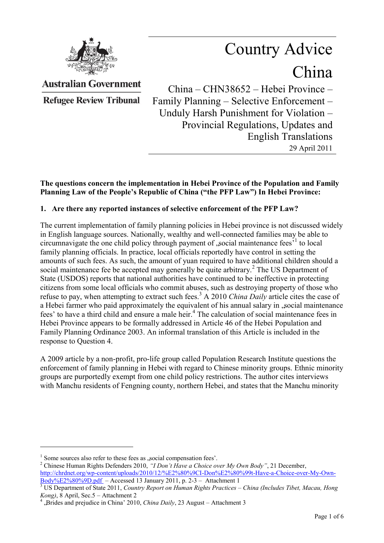

Country Advice China

**Australian Government** 

**Refugee Review Tribunal** 

China – CHN38652 – Hebei Province – Family Planning – Selective Enforcement – Unduly Harsh Punishment for Violation – Provincial Regulations, Updates and English Translations 29 April 2011

## **The questions concern the implementation in Hebei Province of the Population and Family Planning Law of the People's Republic of China ("the PFP Law") In Hebei Province:**

## **1. Are there any reported instances of selective enforcement of the PFP Law?**

The current implementation of family planning policies in Hebei province is not discussed widely in English language sources. Nationally, wealthy and well-connected families may be able to circumnavigate the one child policy through payment of , social maintenance fees<sup> $1$ </sup> to local family planning officials. In practice, local officials reportedly have control in setting the amounts of such fees. As such, the amount of yuan required to have additional children should a social maintenance fee be accepted may generally be quite arbitrary.<sup>2</sup> The US Department of State (USDOS) reports that national authorities have continued to be ineffective in protecting citizens from some local officials who commit abuses, such as destroying property of those who refuse to pay, when attempting to extract such fees.<sup>3</sup> A 2010 *China Daily* article cites the case of a Hebei farmer who paid approximately the equivalent of his annual salary in , social maintenance fees' to have a third child and ensure a male heir.<sup>4</sup> The calculation of social maintenance fees in Hebei Province appears to be formally addressed in Article 46 of the Hebei Population and Family Planning Ordinance 2003. An informal translation of this Article is included in the response to Question 4.

A 2009 article by a non-profit, pro-life group called Population Research Institute questions the enforcement of family planning in Hebei with regard to Chinese minority groups. Ethnic minority groups are purportedly exempt from one child policy restrictions. The author cites interviews with Manchu residents of Fengning county, northern Hebei, and states that the Manchu minority

 $<sup>1</sup>$  Some sources also refer to these fees as , social compensation fees'.</sup>

<sup>2</sup> Chinese Human Rights Defenders 2010, *"I Don't Have a Choice over My Own Body"*, 21 December, [http://chrdnet.org/wp-content/uploads/2010/12/%E2%80%9CI-Don%E2%80%99t-Have-a-Choice-over-My-Own-](http://chrdnet.org/wp-content/uploads/2010/12/%E2%80%9CI-Don%E2%80%99t-Have-a-Choice-over-My-Own-Body%E2%80%9D.pdf) $Body\%E2\%80\%9D.pdf$  – Accessed 13 January 2011, p. 2-3 – Attachment 1

<sup>3</sup> US Department of State 2011, *Country Report on Human Rights Practices – China (Includes Tibet, Macau, Hong Kong)*, 8 April, Sec.5 – Attachment 2

<sup>4</sup> "Brides and prejudice in China" 2010, *China Daily*, 23 August – Attachment 3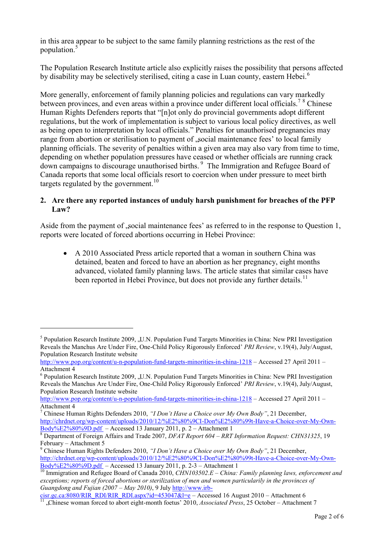in this area appear to be subject to the same family planning restrictions as the rest of the population.<sup>5</sup>

The Population Research Institute article also explicitly raises the possibility that persons affected by disability may be selectively sterilised, citing a case in Luan county, eastern Hebei.<sup>6</sup>

More generally, enforcement of family planning policies and regulations can vary markedly between provinces, and even areas within a province under different local officials.<sup>78</sup> Chinese Human Rights Defenders reports that "[n]ot only do provincial governments adopt different regulations, but the work of implementation is subject to various local policy directives, as well as being open to interpretation by local officials." Penalties for unauthorised pregnancies may range from abortion or sterilisation to payment of , social maintenance fees' to local family planning officials. The severity of penalties within a given area may also vary from time to time, depending on whether population pressures have ceased or whether officials are running crack down campaigns to discourage unauthorised births. <sup>9</sup> The Immigration and Refugee Board of Canada reports that some local officials resort to coercion when under pressure to meet birth targets regulated by the government.<sup>10</sup>

## **2. Are there any reported instances of unduly harsh punishment for breaches of the PFP Law?**

Aside from the payment of social maintenance fees' as referred to in the response to Question 1, reports were located of forced abortions occurring in Hebei Province:

 A 2010 Associated Press article reported that a woman in southern China was detained, beaten and forced to have an abortion as her pregnancy, eight months advanced, violated family planning laws. The article states that similar cases have been reported in Hebei Province, but does not provide any further details.<sup>11</sup>

<sup>&</sup>lt;sup>5</sup> Population Research Institute 2009, "U.N. Population Fund Targets Minorities in China: New PRI Investigation Reveals the Manchus Are Under Fire, One-Child Policy Rigorously Enforced" *PRI Review*, v.19(4), July/August, Population Research Institute website

<http://www.pop.org/content/u-n-population-fund-targets-minorities-in-china-1218>– Accessed 27 April 2011 – Attachment 4

<sup>&</sup>lt;sup>6</sup> Population Research Institute 2009, "U.N. Population Fund Targets Minorities in China: New PRI Investigation Reveals the Manchus Are Under Fire, One-Child Policy Rigorously Enforced" *PRI Review*, v.19(4), July/August, Population Research Institute website

<http://www.pop.org/content/u-n-population-fund-targets-minorities-in-china-1218>– Accessed 27 April 2011 – [Attachment 4](file://ntssyd/refer/Research/2011/Web/UN%20Population%20Fund%20Targets%20Minorities%20in%20China%20New%20PRI%20Investigation%20Reveals%20the%20Manchus%20Are%20Under%20Fire%20One-Child%20Policy%20Rigorously%20Enforced.doc%20%20) 

<sup>7</sup> Chinese Human Rights Defenders 2010, *"I Don't Have a Choice over My Own Body"*, 21 December, [http://chrdnet.org/wp-content/uploads/2010/12/%E2%80%9CI-Don%E2%80%99t-Have-a-Choice-over-My-Own-](http://chrdnet.org/wp-content/uploads/2010/12/%E2%80%9CI-Don%E2%80%99t-Have-a-Choice-over-My-Own-Body%E2%80%9D.pdf)[Body%E2%80%9D.pdf](http://chrdnet.org/wp-content/uploads/2010/12/%E2%80%9CI-Don%E2%80%99t-Have-a-Choice-over-My-Own-Body%E2%80%9D.pdf) – Accessed 13 January 2011, p. 2 – Attachment 1

<sup>8</sup> Department of Foreign Affairs and Trade 2007, *DFAT Report 604 – RRT Information Request: CHN31325*, 19 February – Attachment 5

<sup>9</sup> Chinese Human Rights Defenders 2010, *"I Don't Have a Choice over My Own Body"*, 21 December, [http://chrdnet.org/wp-content/uploads/2010/12/%E2%80%9CI-Don%E2%80%99t-Have-a-Choice-over-My-Own-](http://chrdnet.org/wp-content/uploads/2010/12/%E2%80%9CI-Don%E2%80%99t-Have-a-Choice-over-My-Own-Body%E2%80%9D.pdf) $Body\%E2\%80\%9D.pdf$  – Accessed 13 January 2011, p. 2-3 – Attachment 1

<sup>10</sup> Immigration and Refugee Board of Canada 2010, *CHN103502.E – China: Family planning laws, enforcement and exceptions; reports of forced abortions or sterilization of men and women particularily in the provinces of Guangdong and Fujian (2007 – May 2010)*, 9 Jul[y http://www.irb-](http://www.irb-cisr.gc.ca:8080/RIR_RDI/RIR_RDI.aspx?id=453047&l=e)

 $\frac{\text{cisr.gc.ca.8080/RIR\_RDI/RIR\_RDI.aspx?id=453047&l=e}}{\text{Id.Qkise}} - \text{Accessed 16 August 2010 - Attachment 6}}$ 

<sup>11</sup> "Chinese woman forced to abort eight-month foetus" 2010, *Associated Press*, 25 October – Attachment 7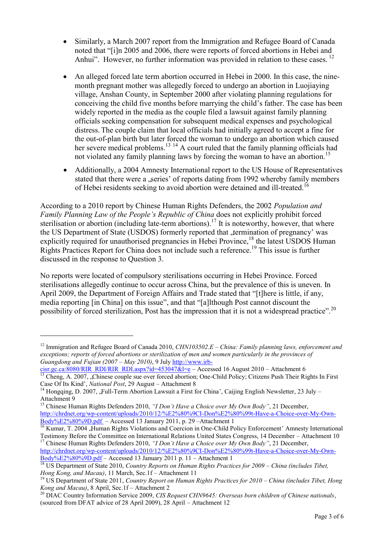- Similarly, a March 2007 report from the Immigration and Refugee Board of Canada noted that "[i]n 2005 and 2006, there were reports of forced abortions in Hebei and Anhui". However, no further information was provided in relation to these cases. <sup>12</sup>
- An alleged forced late term abortion occurred in Hebei in 2000. In this case, the ninemonth pregnant mother was allegedly forced to undergo an abortion in Luojiaying village, Anshan County, in September 2000 after violating planning regulations for conceiving the child five months before marrying the child"s father. The case has been widely reported in the media as the couple filed a lawsuit against family planning officials seeking compensation for subsequent medical expenses and psychological distress. The couple claim that local officials had initially agreed to accept a fine for the out-of-plan birth but later forced the woman to undergo an abortion which caused her severe medical problems.<sup>13 14</sup> A court ruled that the family planning officials had not violated any family planning laws by forcing the woman to have an abortion.<sup>15</sup>
- Additionally, a 2004 Amnesty International report to the US House of Representatives stated that there were a , series' of reports dating from 1992 whereby family members of Hebei residents seeking to avoid abortion were detained and ill-treated.<sup>16</sup>

According to a 2010 report by Chinese Human Rights Defenders, the 2002 *Population and Family Planning Law of the People's Republic of China* does not explicitly prohibit forced sterilisation or abortion (including late-term abortions).<sup>17</sup> It is noteworthy, however, that where the US Department of State (USDOS) formerly reported that , termination of pregnancy' was explicitly required for unauthorised pregnancies in Hebei Province,<sup>18</sup> the latest USDOS Human Rights Practices Report for China does not include such a reference.<sup>19</sup> This issue is further discussed in the response to Question 3.

No reports were located of compulsory sterilisations occurring in Hebei Province. Forced sterilisations allegedly continue to occur across China, but the prevalence of this is uneven. In April 2009, the Department of Foreign Affairs and Trade stated that "[t]here is little, if any, media reporting [in China] on this issue", and that "[a]lthough Post cannot discount the possibility of forced sterilization, Post has the impression that it is not a widespread practice".<sup>20</sup>

<sup>12</sup> Immigration and Refugee Board of Canada 2010, *CHN103502.E – China: Family planning laws, enforcement and exceptions; reports of forced abortions or sterilization of men and women particularly in the provinces of Guangdong and Fujian (2007 – May 2010)*, 9 Jul[y http://www.irb-](http://www.irb-cisr.gc.ca:8080/RIR_RDI/RIR_RDI.aspx?id=453047&l=e)

[cisr.gc.ca:8080/RIR\\_RDI/RIR\\_RDI.aspx?id=453047&l=e](http://www.irb-cisr.gc.ca:8080/RIR_RDI/RIR_RDI.aspx?id=453047&l=e) – Accessed 16 August 2010 – Attachment 6 <sup>13</sup> Cheng, A. 2007, "Chinese couple sue over forced abortion; One-Child Policy; Citizens Push Their Rights In First Case Of Its Kind", *National Post*, 29 August – Attachment 8

<sup>&</sup>lt;sup>14</sup> Hongqing, D. 2007, "Full-Term Abortion Lawsuit a First for China', Caijing English Newsletter, 23 July – Attachment 9

<sup>&</sup>lt;sup>15</sup> Chinese Human Rights Defenders 2010, "I Don't Have a Choice over My Own Body", 21 December, [http://chrdnet.org/wp-content/uploads/2010/12/%E2%80%9CI-Don%E2%80%99t-Have-a-Choice-over-My-Own-](http://chrdnet.org/wp-content/uploads/2010/12/%E2%80%9CI-Don%E2%80%99t-Have-a-Choice-over-My-Own-Body%E2%80%9D.pdf)[Body%E2%80%9D.pdf](http://chrdnet.org/wp-content/uploads/2010/12/%E2%80%9CI-Don%E2%80%99t-Have-a-Choice-over-My-Own-Body%E2%80%9D.pdf) – Accessed 13 January 2011, p. 29 –Attachment 1

<sup>&</sup>lt;sup>16</sup> Kumar, T. 2004 , Human Rights Violations and Coercion in One-Child Policy Enforcement' Amnesty International Testimony Before the Committee on International Relations United States Congress, 14 December – Attachment 10 <sup>17</sup> Chinese Human Rights Defenders 2010, *"I Don't Have a Choice over My Own Body"*, 21 December,

[http://chrdnet.org/wp-content/uploads/2010/12/%E2%80%9CI-Don%E2%80%99t-Have-a-Choice-over-My-Own-](http://chrdnet.org/wp-content/uploads/2010/12/%E2%80%9CI-Don%E2%80%99t-Have-a-Choice-over-My-Own-Body%E2%80%9D.pdf)[Body%E2%80%9D.pdf](http://chrdnet.org/wp-content/uploads/2010/12/%E2%80%9CI-Don%E2%80%99t-Have-a-Choice-over-My-Own-Body%E2%80%9D.pdf) – Accessed 13 January 2011 p. 11 – Attachment 1

<sup>18</sup> US Department of State 2010, *Country Reports on Human Rights Practices for 2009 – China (includes Tibet, Hong Kong, and Macau)*, 11 March, Sec.1f – Attachment 11

<sup>19</sup> US Department of State 2011, *Country Report on Human Rights Practices for 2010 – China (includes Tibet, Hong Kong and Macau)*, 8 April, Sec.1f – Attachment 2

<sup>20</sup> DIAC Country Information Service 2009, *CIS Request CHN9645: Overseas born children of Chinese nationals*, (sourced from DFAT advice of 28 April 2009), 28 April – Attachment 12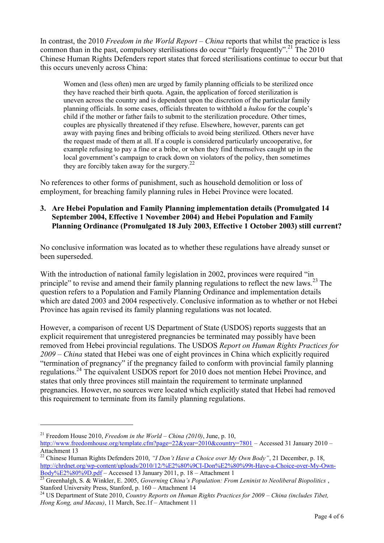In contrast, the 2010 *Freedom in the World Report – China* reports that whilst the practice is less common than in the past, compulsory sterilisations do occur "fairly frequently".<sup>21</sup> The 2010 Chinese Human Rights Defenders report states that forced sterilisations continue to occur but that this occurs unevenly across China:

Women and (less often) men are urged by family planning officials to be sterilized once they have reached their birth quota. Again, the application of forced sterilization is uneven across the country and is dependent upon the discretion of the particular family planning officials. In some cases, officials threaten to withhold a *hukou* for the couple"s child if the mother or father fails to submit to the sterilization procedure. Other times, couples are physically threatened if they refuse. Elsewhere, however, parents can get away with paying fines and bribing officials to avoid being sterilized. Others never have the request made of them at all. If a couple is considered particularly uncooperative, for example refusing to pay a fine or a bribe, or when they find themselves caught up in the local government's campaign to crack down on violators of the policy, then sometimes they are forcibly taken away for the surgery. $22$ 

No references to other forms of punishment, such as household demolition or loss of employment, for breaching family planning rules in Hebei Province were located.

**3. Are Hebei Population and Family Planning implementation details (Promulgated 14 September 2004, Effective 1 November 2004) and Hebei Population and Family Planning Ordinance (Promulgated 18 July 2003, Effective 1 October 2003) still current?** 

No conclusive information was located as to whether these regulations have already sunset or been superseded.

With the introduction of national family legislation in 2002, provinces were required "in principle" to revise and amend their family planning regulations to reflect the new laws.<sup>23</sup> The question refers to a Population and Family Planning Ordinance and implementation details which are dated 2003 and 2004 respectively. Conclusive information as to whether or not Hebei Province has again revised its family planning regulations was not located.

However, a comparison of recent US Department of State (USDOS) reports suggests that an explicit requirement that unregistered pregnancies be terminated may possibly have been removed from Hebei provincial regulations. The USDOS *Report on Human Rights Practices for 2009 – China* stated that Hebei was one of eight provinces in China which explicitly required "termination of pregnancy" if the pregnancy failed to conform with provincial family planning regulations.<sup>24</sup> The equivalent USDOS report for 2010 does not mention Hebei Province, and states that only three provinces still maintain the requirement to terminate unplanned pregnancies. However, no sources were located which explicitly stated that Hebei had removed this requirement to terminate from its family planning regulations.

<sup>21</sup> Freedom House 2010, *Freedom in the World – China (2010)*, June, p. 10,

<http://www.freedomhouse.org/template.cfm?page=22&year=2010&country=7801>– Accessed 31 January 2010 – Attachment 13

<sup>&</sup>lt;sup>22</sup> Chinese Human Rights Defenders 2010, "*I Don't Have a Choice over My Own Body*", 21 December, p. 18, [http://chrdnet.org/wp-content/uploads/2010/12/%E2%80%9CI-Don%E2%80%99t-Have-a-Choice-over-My-Own-](http://chrdnet.org/wp-content/uploads/2010/12/%E2%80%9CI-Don%E2%80%99t-Have-a-Choice-over-My-Own-Body%E2%80%9D.pdf)[Body%E2%80%9D.pdf](http://chrdnet.org/wp-content/uploads/2010/12/%E2%80%9CI-Don%E2%80%99t-Have-a-Choice-over-My-Own-Body%E2%80%9D.pdf) – Accessed 13 January 2011, p. 18 – Attachment 1

<sup>23</sup> Greenhalgh, S. & Winkler, E. 2005, *Governing China's Population: From Leninist to Neoliberal Biopolitics* , Stanford University Press, Stanford, p. 160 – Attachment 14

<sup>24</sup> US Department of State 2010, *Country Reports on Human Rights Practices for 2009 – China (includes Tibet, Hong Kong, and Macau)*, 11 March, Sec.1f – Attachment 11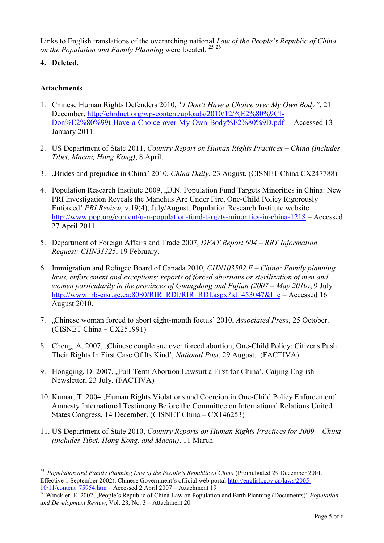Links to English translations of the overarching national *Law of the People's Republ*i*c of China on the Population and Family Planning* were located. <sup>25</sup> <sup>26</sup>

**4. Deleted.** 

## **Attachments**

- 1. Chinese Human Rights Defenders 2010, *"I Don't Have a Choice over My Own Body"*, 21 December, [http://chrdnet.org/wp-content/uploads/2010/12/%E2%80%9CI-](http://chrdnet.org/wp-content/uploads/2010/12/%E2%80%9CI-Don%E2%80%99t-Have-a-Choice-over-My-Own-Body%E2%80%9D.pdf)[Don%E2%80%99t-Have-a-Choice-over-My-Own-Body%E2%80%9D.pdf](http://chrdnet.org/wp-content/uploads/2010/12/%E2%80%9CI-Don%E2%80%99t-Have-a-Choice-over-My-Own-Body%E2%80%9D.pdf) – Accessed 13 January 2011.
- 2. US Department of State 2011, *Country Report on Human Rights Practices China (Includes Tibet, Macau, Hong Kong)*, 8 April.
- 3. "Brides and prejudice in China" 2010, *China Daily*, 23 August. (CISNET China CX247788)
- 4. Population Research Institute 2009, "U.N. Population Fund Targets Minorities in China: New PRI Investigation Reveals the Manchus Are Under Fire, One-Child Policy Rigorously Enforced" *PRI Review*, v.19(4), July/August, Population Research Institute website <http://www.pop.org/content/u-n-population-fund-targets-minorities-in-china-1218> – Accessed 27 April 2011.
- 5. Department of Foreign Affairs and Trade 2007, *DFAT Report 604 RRT Information Request: CHN31325*, 19 February.
- 6. Immigration and Refugee Board of Canada 2010, *CHN103502.E – China: Family planning laws, enforcement and exceptions; reports of forced abortions or sterilization of men and women particularily in the provinces of Guangdong and Fujian (2007 – May 2010)*, 9 July [http://www.irb-cisr.gc.ca:8080/RIR\\_RDI/RIR\\_RDI.aspx?id=453047&l=e](http://www.irb-cisr.gc.ca:8080/RIR_RDI/RIR_RDI.aspx?id=453047&l=e) – Accessed 16 August 2010.
- 7. "Chinese woman forced to abort eight-month foetus" 2010, *Associated Press*, 25 October. (CISNET China – CX251991)
- 8. Cheng, A. 2007, "Chinese couple sue over forced abortion; One-Child Policy; Citizens Push Their Rights In First Case Of Its Kind", *National Post*, 29 August. (FACTIVA)
- 9. Hongqing, D. 2007, "Full-Term Abortion Lawsuit a First for China', Caijing English Newsletter, 23 July. (FACTIVA)
- 10. Kumar, T. 2004 , Human Rights Violations and Coercion in One-Child Policy Enforcement' Amnesty International Testimony Before the Committee on International Relations United States Congress, 14 December. (CISNET China – CX146253)
- 11. US Department of State 2010, *Country Reports on Human Rights Practices for 2009 – China (includes Tibet, Hong Kong, and Macau)*, 11 March.

<sup>&</sup>lt;sup>25</sup> Population and Family Planning Law of the People's Republic of China (Promulgated 29 December 2001, Effective 1 September 2002), Chinese Government's official web portal [http://english.gov.cn/laws/2005-](http://english.gov.cn/laws/2005-10/11/content_75954.htm) [10/11/content\\_75954.htm –](http://english.gov.cn/laws/2005-10/11/content_75954.htm) Accessed 2 April 2007 – Attachment 19

<sup>&</sup>lt;sup>26</sup> Winckler, E. 2002, "People's Republic of China Law on Population and Birth Planning (Documents)' *Population and Development Review*, Vol. 28, No. 3 – Attachment 20